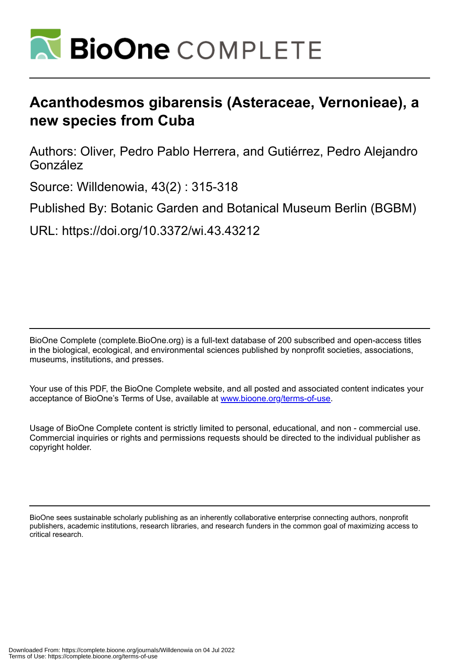

# **Acanthodesmos gibarensis (Asteraceae, Vernonieae), a new species from Cuba**

Authors: Oliver, Pedro Pablo Herrera, and Gutiérrez, Pedro Alejandro González

Source: Willdenowia, 43(2) : 315-318

Published By: Botanic Garden and Botanical Museum Berlin (BGBM)

URL: https://doi.org/10.3372/wi.43.43212

BioOne Complete (complete.BioOne.org) is a full-text database of 200 subscribed and open-access titles in the biological, ecological, and environmental sciences published by nonprofit societies, associations, museums, institutions, and presses.

Your use of this PDF, the BioOne Complete website, and all posted and associated content indicates your acceptance of BioOne's Terms of Use, available at www.bioone.org/terms-of-use.

Usage of BioOne Complete content is strictly limited to personal, educational, and non - commercial use. Commercial inquiries or rights and permissions requests should be directed to the individual publisher as copyright holder.

BioOne sees sustainable scholarly publishing as an inherently collaborative enterprise connecting authors, nonprofit publishers, academic institutions, research libraries, and research funders in the common goal of maximizing access to critical research.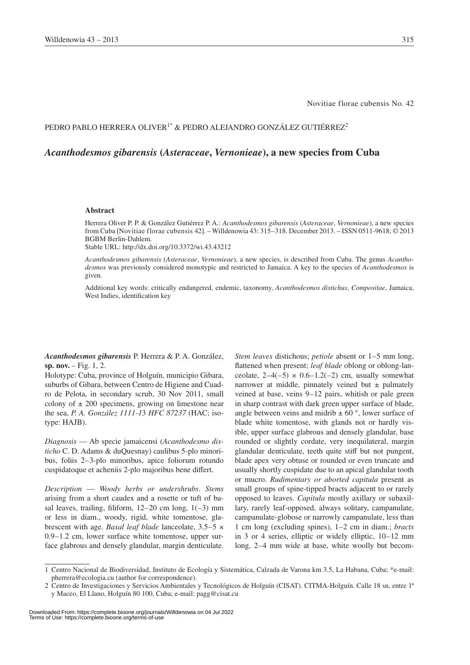Novitiae florae cubensis No. 42

### PEDRO PABLO HERRERA OLIVER<sup>1\*</sup> & PEDRO ALEJANDRO GONZÁLEZ GUTIÉRREZ<sup>2</sup>

## *Acanthodesmos gibarensis* **(***Asteraceae***,** *Vernonieae***), a new species from Cuba**

#### **Abstract**

Herrera Oliver P. P. & González Gutiérrez P. A.: *Acanthodesmos gibarensis* (*Asteraceae*, *Vernonieae*), a new species from Cuba [Novitiae florae cubensis 42]. – Willdenowia 43: 315–318. December 2013. – ISSN 0511-9618; © 2013 BGBM Berlin-Dahlem.

Stable URL: http://dx.doi.org/10.3372/wi.43.43212

*Acanthodesmos gibarensis* (*Asteraceae*, *Vernonieae*), a new species, is described from Cuba. The genus *Acanthodesmos* was previously considered monotypic and restricted to Jamaica. A key to the species of *Acanthodesmos* is given.

Additional key words: critically endangered, endemic, taxonomy, *Acanthodesmos distichus*, *Compositae*, Jamaica, West Indies, identification key

*Acanthodesmos gibarensis* P. Herrera & P. A. González, **sp. nov.** – Fig. 1, 2.

Holotype: Cuba, province of Holguín, municipio Gibara, suburbs of Gibara, between Centro de Higiene and Cuadro de Pelota, in secondary scrub, 30 Nov 2011, small colony of  $\pm$  200 specimens, growing on limestone near the sea, *P. A. González 1111-1*3 *HFC 87237* (HAC; isotype: HAJB).

*Diagnosis* — Ab specie jamaicensi (*Acanthodesmo disticho* C. D. Adams & duQuesnay) caulibus 5-plo minoribus, foliis 2–3-plo minoribus, apice foliorum rotundo cuspidatoque et acheniis 2-plo majoribus bene differt.

*Description* — *Woody herbs or undershrubs*. *Stems* arising from a short caudex and a rosette or tuft of basal leaves, trailing, filiform,  $12-20$  cm long,  $1(-3)$  mm or less in diam., woody, rigid, white tomentose, glabrescent with age. *Basal leaf blade* lanceolate, 3.5–5 × 0.9–1.2 cm, lower surface white tomentose, upper surface glabrous and densely glandular, margin denticulate. *Stem leaves* distichous; *petiole* absent or 1–5 mm long, flattened when present; *leaf blade* oblong or oblong-lanceolate,  $2-4(-5) \times 0.6-1.2(-2)$  cm, usually somewhat narrower at middle, pinnately veined but  $\pm$  palmately veined at base, veins 9–12 pairs, whitish or pale green in sharp contrast with dark green upper surface of blade, angle between veins and midrib  $\pm$  60 $\degree$ , lower surface of blade white tomentose, with glands not or hardly visible, upper surface glabrous and densely glandular, base rounded or slightly cordate, very inequilateral, margin glandular denticulate, teeth quite stiff but not pungent, blade apex very obtuse or rounded or even truncate and usually shortly cuspidate due to an apical glandular tooth or mucro. *Rudimentary or aborted capitula* present as small groups of spine-tipped bracts adjacent to or rarely opposed to leaves. *Capitula* mostly axillary or subaxillary, rarely leaf-opposed, always solitary, campanulate, campanulate-globose or narrowly campanulate, less than 1 cm long (excluding spines), 1–2 cm in diam.; *bracts* in 3 or 4 series, elliptic or widely elliptic, 10–12 mm long, 2–4 mm wide at base, white woolly but becom-

<sup>1</sup> Centro Nacional de Biodiversidad, Instituto de Ecología y Sistemática, Calzada de Varona km 3.5, La Habana, Cuba; \*e-mail: pherrera@ecologia.cu (author for correspondence).

<sup>2</sup> Centro de Investigaciones y Servicios Ambientales y Tecnológicos de Holguín (CISAT). CITMA-Holguín. Calle 18 sn, entre 1ª y Maceo, El Llano, Holguín 80 100, Cuba; e-mail: pagg@cisat.cu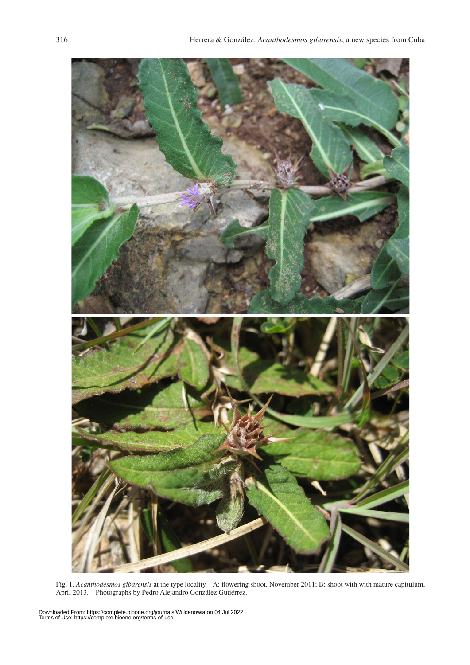

Fig. 1. *Acanthodesmos gibarensis* at the type locality – A: flowering shoot, November 2011; B: shoot with with mature capitulum, April 2013. – Photographs by Pedro Alejandro González Gutiérrez.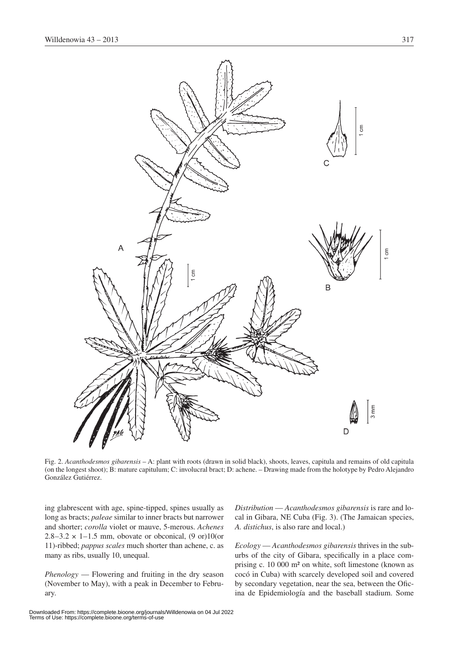

Fig. 2. *Acanthodesmos gibarensis* – A: plant with roots (drawn in solid black), shoots, leaves, capitula and remains of old capitula (on the longest shoot); B: mature capitulum; C: involucral bract; D: achene. – Drawing made from the holotype by Pedro Alejandro González Gutiérrez.

ing glabrescent with age, spine-tipped, spines usually as long as bracts; *paleae* similar to inner bracts but narrower and shorter; *corolla* violet or mauve, 5-merous. *Achenes*  $2.8-3.2 \times 1-1.5$  mm, obovate or obconical,  $(9 \text{ or } 10)$  (or 11)-ribbed; *pappus scales* much shorter than achene, c. as many as ribs, usually 10, unequal.

*Phenology* — Flowering and fruiting in the dry season (November to May), with a peak in December to February.

*Distribution* — *Acanthodesmos gibarensis* is rare and local in Gibara, NE Cuba (Fig. 3). (The Jamaican species, *A. distichus*, is also rare and local.)

*Ecology* — *Acanthodesmos gibarensis* thrives in the suburbs of the city of Gibara, specifically in a place comprising c. 10 000 m² on white, soft limestone (known as cocó in Cuba) with scarcely developed soil and covered by secondary vegetation, near the sea, between the Oficina de Epidemiología and the baseball stadium. Some